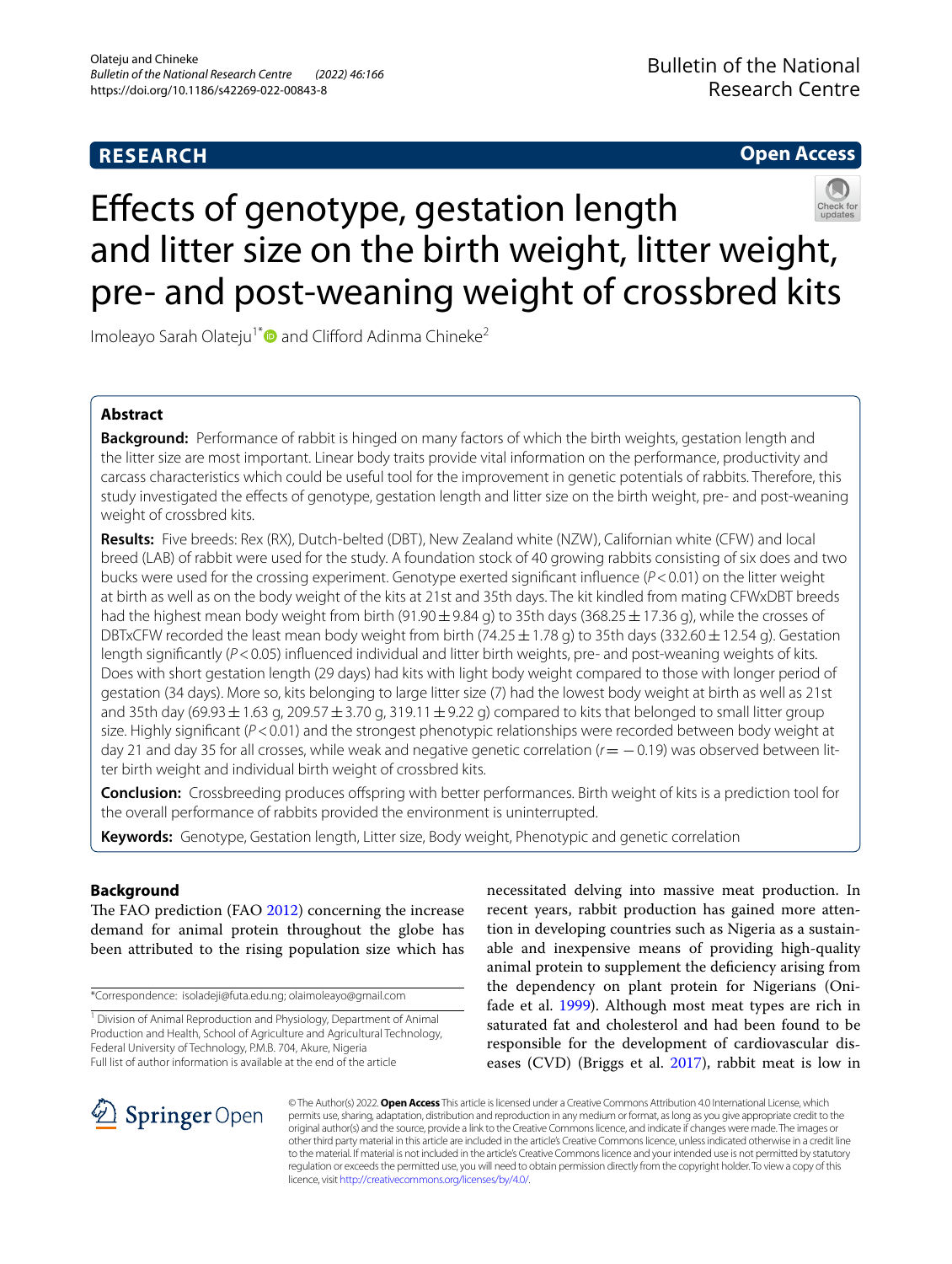# **RESEARCH**

# **Open Access**



# Efects of genotype, gestation length and litter size on the birth weight, litter weight, pre- and post-weaning weight of crossbred kits

Imoleayo Sarah Olateju<sup>1\*</sup> and Clifford Adinma Chineke<sup>2</sup>

# **Abstract**

**Background:** Performance of rabbit is hinged on many factors of which the birth weights, gestation length and the litter size are most important. Linear body traits provide vital information on the performance, productivity and carcass characteristics which could be useful tool for the improvement in genetic potentials of rabbits. Therefore, this study investigated the efects of genotype, gestation length and litter size on the birth weight, pre- and post-weaning weight of crossbred kits.

**Results:** Five breeds: Rex (RX), Dutch-belted (DBT), New Zealand white (NZW), Californian white (CFW) and local breed (LAB) of rabbit were used for the study. A foundation stock of 40 growing rabbits consisting of six does and two bucks were used for the crossing experiment. Genotype exerted signifcant infuence (*P*<0.01) on the litter weight at birth as well as on the body weight of the kits at 21st and 35th days. The kit kindled from mating CFWxDBT breeds had the highest mean body weight from birth (91.90 $\pm$ 9.84 g) to 35th days (368.25  $\pm$  17.36 g), while the crosses of DBTxCFW recorded the least mean body weight from birth (74.25  $\pm$  1.78 g) to 35th days (332.60  $\pm$  12.54 g). Gestation length signifcantly (*P*<0.05) infuenced individual and litter birth weights, pre- and post-weaning weights of kits. Does with short gestation length (29 days) had kits with light body weight compared to those with longer period of gestation (34 days). More so, kits belonging to large litter size (7) had the lowest body weight at birth as well as 21st and 35th day (69.93  $\pm$  1.63 g, 209.57  $\pm$  3.70 g, 319.11  $\pm$  9.22 g) compared to kits that belonged to small litter group size. Highly significant ( $P < 0.01$ ) and the strongest phenotypic relationships were recorded between body weight at day 21 and day 35 for all crosses, while weak and negative genetic correlation (*r*= −0.19) was observed between litter birth weight and individual birth weight of crossbred kits.

**Conclusion:** Crossbreeding produces ofspring with better performances. Birth weight of kits is a prediction tool for the overall performance of rabbits provided the environment is uninterrupted.

**Keywords:** Genotype, Gestation length, Litter size, Body weight, Phenotypic and genetic correlation

## **Background**

The FAO prediction (FAO [2012\)](#page-5-0) concerning the increase demand for animal protein throughout the globe has been attributed to the rising population size which has

\*Correspondence: isoladeji@futa.edu.ng; olaimoleayo@gmail.com

<sup>1</sup> Division of Animal Reproduction and Physiology, Department of Animal Production and Health, School of Agriculture and Agricultural Technology, Federal University of Technology, P.M.B. 704, Akure, Nigeria Full list of author information is available at the end of the article

necessitated delving into massive meat production. In recent years, rabbit production has gained more attention in developing countries such as Nigeria as a sustainable and inexpensive means of providing high-quality animal protein to supplement the defciency arising from the dependency on plant protein for Nigerians (Oni-fade et al. [1999\)](#page-5-1). Although most meat types are rich in saturated fat and cholesterol and had been found to be responsible for the development of cardiovascular diseases (CVD) (Briggs et al. [2017](#page-4-0)), rabbit meat is low in



© The Author(s) 2022. **Open Access** This article is licensed under a Creative Commons Attribution 4.0 International License, which permits use, sharing, adaptation, distribution and reproduction in any medium or format, as long as you give appropriate credit to the original author(s) and the source, provide a link to the Creative Commons licence, and indicate if changes were made. The images or other third party material in this article are included in the article's Creative Commons licence, unless indicated otherwise in a credit line to the material. If material is not included in the article's Creative Commons licence and your intended use is not permitted by statutory regulation or exceeds the permitted use, you will need to obtain permission directly from the copyright holder. To view a copy of this licence, visit [http://creativecommons.org/licenses/by/4.0/.](http://creativecommons.org/licenses/by/4.0/)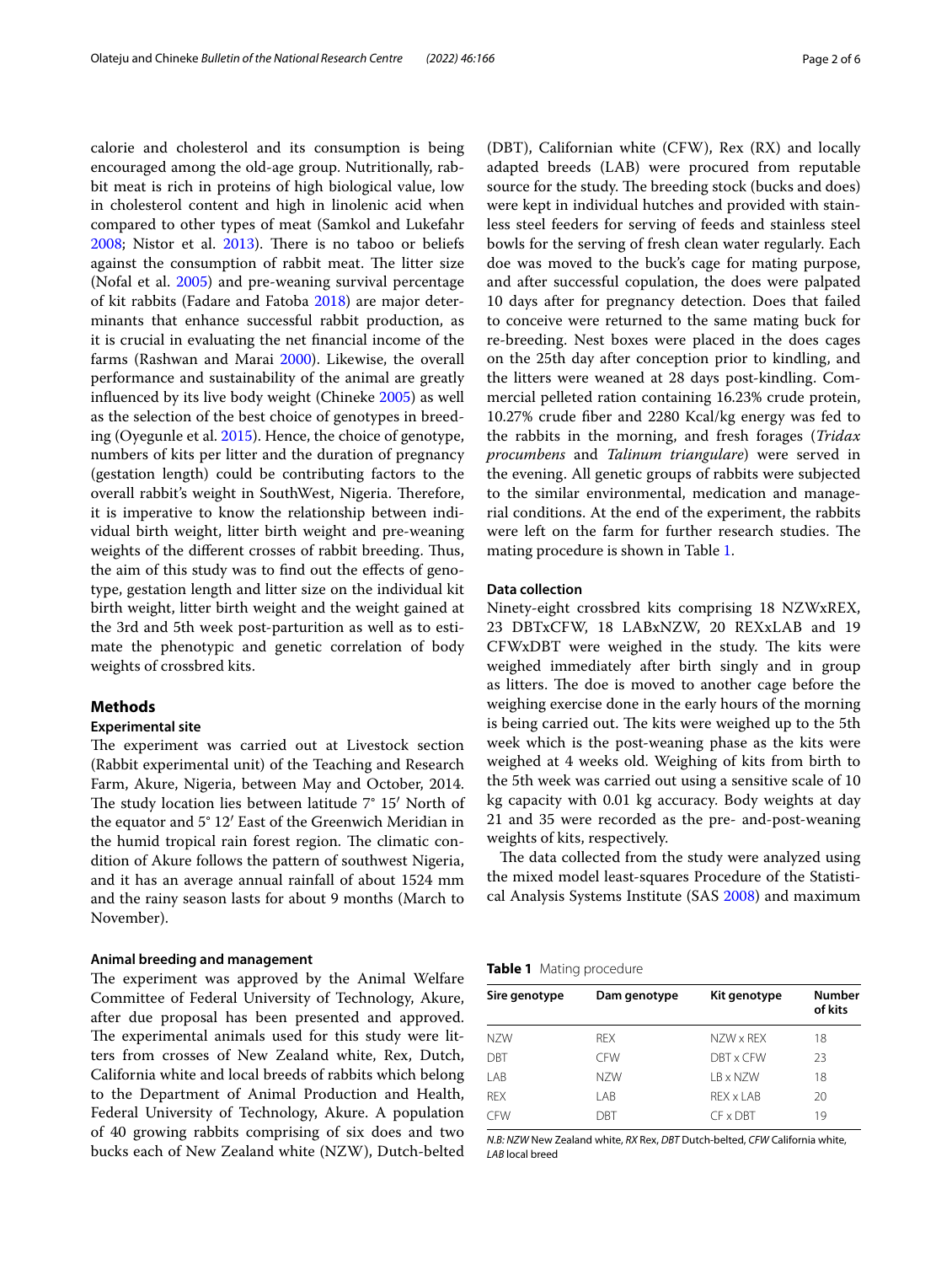calorie and cholesterol and its consumption is being encouraged among the old-age group. Nutritionally, rabbit meat is rich in proteins of high biological value, low in cholesterol content and high in linolenic acid when compared to other types of meat (Samkol and Lukefahr  $2008$ ; Nistor et al.  $2013$ ). There is no taboo or beliefs against the consumption of rabbit meat. The litter size (Nofal et al. [2005\)](#page-5-4) and pre-weaning survival percentage of kit rabbits (Fadare and Fatoba [2018](#page-5-5)) are major determinants that enhance successful rabbit production, as it is crucial in evaluating the net fnancial income of the farms (Rashwan and Marai [2000\)](#page-5-6). Likewise, the overall performance and sustainability of the animal are greatly infuenced by its live body weight (Chineke [2005](#page-5-7)) as well as the selection of the best choice of genotypes in breeding (Oyegunle et al. [2015](#page-5-8)). Hence, the choice of genotype, numbers of kits per litter and the duration of pregnancy (gestation length) could be contributing factors to the overall rabbit's weight in SouthWest, Nigeria. Therefore, it is imperative to know the relationship between individual birth weight, litter birth weight and pre-weaning weights of the different crosses of rabbit breeding. Thus, the aim of this study was to find out the effects of genotype, gestation length and litter size on the individual kit birth weight, litter birth weight and the weight gained at the 3rd and 5th week post-parturition as well as to estimate the phenotypic and genetic correlation of body weights of crossbred kits.

## **Methods**

#### **Experimental site**

The experiment was carried out at Livestock section (Rabbit experimental unit) of the Teaching and Research Farm, Akure, Nigeria, between May and October, 2014. The study location lies between latitude  $7^{\circ}$  15' North of the equator and 5° 12′ East of the Greenwich Meridian in the humid tropical rain forest region. The climatic condition of Akure follows the pattern of southwest Nigeria, and it has an average annual rainfall of about 1524 mm and the rainy season lasts for about 9 months (March to November).

### **Animal breeding and management**

The experiment was approved by the Animal Welfare Committee of Federal University of Technology, Akure, after due proposal has been presented and approved. The experimental animals used for this study were litters from crosses of New Zealand white, Rex, Dutch, California white and local breeds of rabbits which belong to the Department of Animal Production and Health, Federal University of Technology, Akure. A population of 40 growing rabbits comprising of six does and two bucks each of New Zealand white (NZW), Dutch-belted (DBT), Californian white (CFW), Rex (RX) and locally adapted breeds (LAB) were procured from reputable source for the study. The breeding stock (bucks and does) were kept in individual hutches and provided with stainless steel feeders for serving of feeds and stainless steel bowls for the serving of fresh clean water regularly. Each doe was moved to the buck's cage for mating purpose, and after successful copulation, the does were palpated 10 days after for pregnancy detection. Does that failed to conceive were returned to the same mating buck for re-breeding. Nest boxes were placed in the does cages on the 25th day after conception prior to kindling, and the litters were weaned at 28 days post-kindling. Commercial pelleted ration containing 16.23% crude protein, 10.27% crude fber and 2280 Kcal/kg energy was fed to the rabbits in the morning, and fresh forages (*Tridax procumbens* and *Talinum triangulare*) were served in the evening. All genetic groups of rabbits were subjected to the similar environmental, medication and managerial conditions. At the end of the experiment, the rabbits were left on the farm for further research studies. The mating procedure is shown in Table [1.](#page-1-0)

## **Data collection**

Ninety-eight crossbred kits comprising 18 NZWxREX, 23 DBTxCFW, 18 LABxNZW, 20 REXxLAB and 19  $CFWxDBT$  were weighed in the study. The kits were weighed immediately after birth singly and in group as litters. The doe is moved to another cage before the weighing exercise done in the early hours of the morning is being carried out. The kits were weighed up to the 5th week which is the post-weaning phase as the kits were weighed at 4 weeks old. Weighing of kits from birth to the 5th week was carried out using a sensitive scale of 10 kg capacity with 0.01 kg accuracy. Body weights at day 21 and 35 were recorded as the pre- and-post-weaning weights of kits, respectively.

The data collected from the study were analyzed using the mixed model least-squares Procedure of the Statistical Analysis Systems Institute (SAS [2008](#page-5-9)) and maximum

<span id="page-1-0"></span>

| Sire genotype | Dam genotype | Kit genotype | <b>Number</b><br>of kits |  |
|---------------|--------------|--------------|--------------------------|--|
| NZW           | <b>RFX</b>   | NZW x RFX    | 18                       |  |
| DBT           | <b>CFW</b>   | DBT x CFW    | 23                       |  |
| LAB           | N7W          | LB x NZW     | 18                       |  |
| <b>REX</b>    | LAB          | RFX x LAB    | 20                       |  |
| <b>CFW</b>    | DBT          | CF x DBT     | 19                       |  |

*N.B: NZW* New Zealand white, *RX* Rex, *DBT* Dutch-belted, *CFW* California white, *LAB* local breed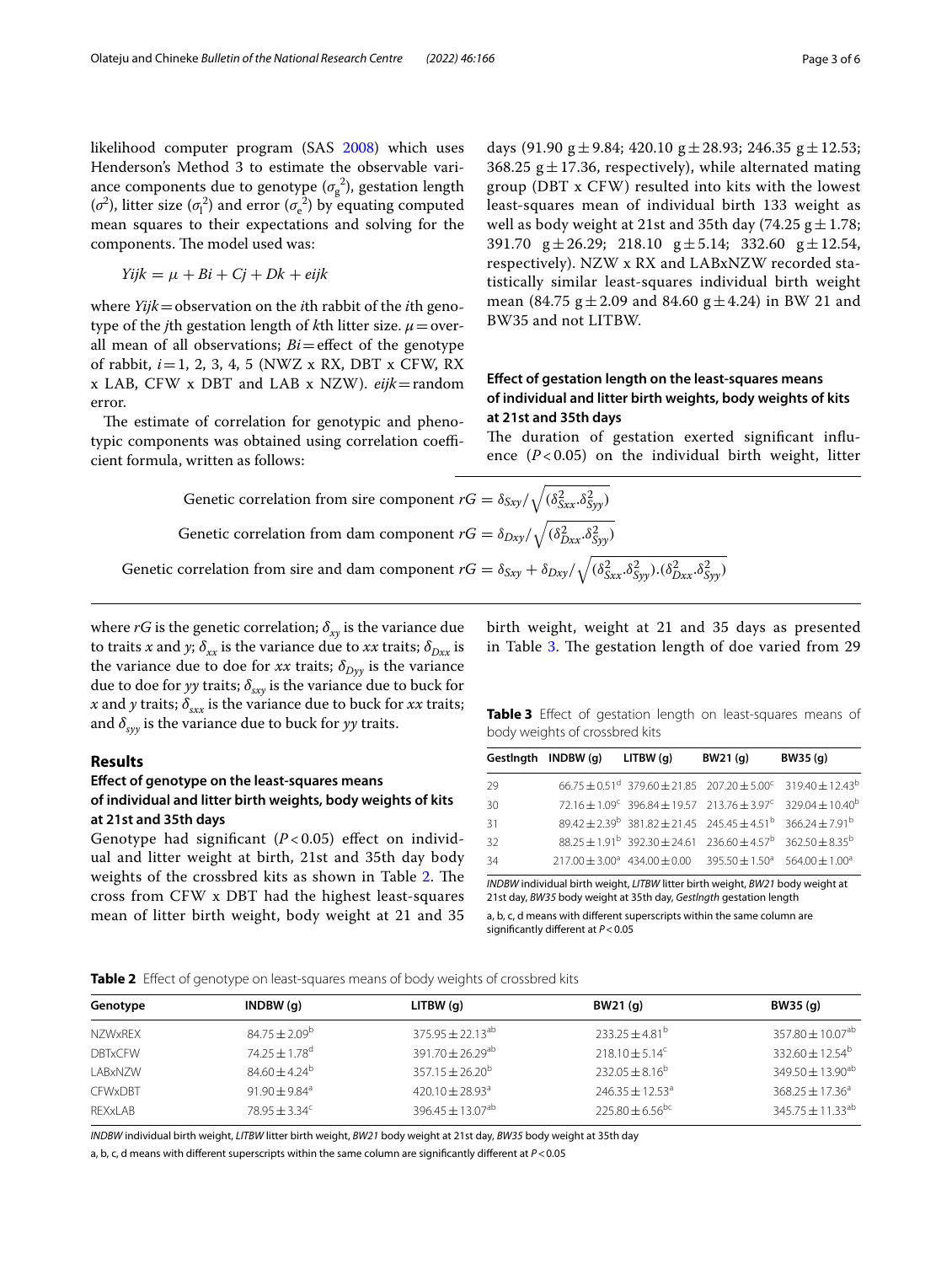likelihood computer program (SAS [2008](#page-5-9)) which uses Henderson's Method 3 to estimate the observable variance components due to genotype  $(\sigma_g^2)$ , gestation length ( $\sigma^2$ ), litter size ( $\sigma_1^2$ ) and error ( $\sigma_e^2$ ) by equating computed mean squares to their expectations and solving for the components. The model used was:

$$
Yijk = \mu + Bi + Cj + Dk + \text{ei}jk
$$

where *Yijk*=observation on the *i*th rabbit of the *i*th genotype of the *j*th gestation length of *k*th litter size.  $\mu$  = overall mean of all observations;  $Bi =$ effect of the genotype of rabbit, *i*=1, 2, 3, 4, 5 (NWZ x RX, DBT x CFW, RX x LAB, CFW x DBT and LAB x NZW). *eijk*=random error.

The estimate of correlation for genotypic and phenotypic components was obtained using correlation coefficient formula, written as follows:

days (91.90 g $\pm$  9.84; 420.10 g $\pm$  28.93; 246.35 g $\pm$  12.53; 368.25  $g \pm 17.36$ , respectively), while alternated mating group (DBT x CFW) resulted into kits with the lowest least-squares mean of individual birth 133 weight as well as body weight at 21st and 35th day (74.25  $g \pm 1.78$ ; 391.70  $g \pm 26.29$ ; 218.10  $g \pm 5.14$ ; 332.60  $g \pm 12.54$ , respectively). NZW x RX and LABxNZW recorded statistically similar least-squares individual birth weight mean (84.75  $g \pm 2.09$  and 84.60  $g \pm 4.24$ ) in BW 21 and BW35 and not LITBW.

## **Efect of gestation length on the least‑squares means of individual and litter birth weights, body weights of kits at 21st and 35th days**

The duration of gestation exerted significant influence  $(P<0.05)$  on the individual birth weight, litter

Genetic correlation from sine component 
$$
rG = \delta_{Sxy}/\sqrt{(\delta_{Sxx}^2 \cdot \delta_{Syy}^2)}
$$
  
Genetic correlation from dam component  $rG = \delta_{Dxy}/\sqrt{(\delta_{Dxx}^2 \cdot \delta_{Syy}^2)}$   
Genetic correlation from sire and dam component  $rG = \delta_{Sxy} + \delta_{Dxy}/\sqrt{(\delta_{Sxx}^2 \cdot \delta_{Syy}^2) \cdot (\delta_{Dxx}^2 \cdot \delta_{Syy}^2)}$ 

where  $rG$  is the genetic correlation;  $\delta_{xy}$  is the variance due to traits *x* and *y*;  $\delta_{xx}$  is the variance due to *xx* traits;  $\delta_{Dxx}$  is the variance due to doe for *xx* traits;  $\delta_{Dyy}$  is the variance due to doe for *yy* traits;  $\delta_{sxy}$  is the variance due to buck for *x* and *y* traits;  $\delta_{xxx}$  is the variance due to buck for *xx* traits; and  $\delta_{\text{sw}}$  is the variance due to buck for *yy* traits.

## **Results**

## **Efect of genotype on the least‑squares means of individual and litter birth weights, body weights of kits at 21st and 35th days**

Genotype had significant ( $P < 0.05$ ) effect on individual and litter weight at birth, 21st and 35th day body weights of the crossbred kits as shown in Table [2](#page-2-0). The cross from CFW x DBT had the highest least-squares mean of litter birth weight, body weight at 21 and 35

birth weight, weight at 21 and 35 days as presented in Table  $3$ . The gestation length of doe varied from 29

<span id="page-2-1"></span>**Table 3** Efect of gestation length on least-squares means of body weights of crossbred kits

|    | Gestingth INDBW (q) LITBW (q) | BW21(q)                                                                                             | BW35 (q)                                                                                                   |
|----|-------------------------------|-----------------------------------------------------------------------------------------------------|------------------------------------------------------------------------------------------------------------|
| 29 |                               |                                                                                                     | $66.75 + 0.51^d$ 379.60 + 21.85 207.20 + 5.00 <sup>c</sup> 319.40 + 12.43 <sup>b</sup>                     |
| 30 |                               |                                                                                                     | $72.16 \pm 1.09^{\circ}$ 396.84 $\pm$ 19.57 213.76 $\pm$ 3.97 <sup>c</sup> 329.04 $\pm$ 10.40 <sup>b</sup> |
| 31 |                               | $89.42 + 2.39^b$ 381.82 + 21.45 245.45 + 4.51 <sup>b</sup> 366.24 + 7.91 <sup>b</sup>               |                                                                                                            |
| 32 |                               | $88.25 + 1.91^{b}$ 392.30 + 24.61 236.60 + 4.57 <sup>b</sup> 362.50 + 8.35 <sup>b</sup>             |                                                                                                            |
| 34 |                               | $217.00 \pm 3.00^a$ 434.00 $\pm$ 0.00 395.50 $\pm$ 1.50 <sup>a</sup> 564.00 $\pm$ 1.00 <sup>a</sup> |                                                                                                            |
|    |                               |                                                                                                     |                                                                                                            |

*INDBW* individual birth weight, *LITBW* litter birth weight, *BW21* body weight at 21st day, *BW35* body weight at 35th day, *Gestlngth* gestation length

a, b, c, d means with diferent superscripts within the same column are signifcantly diferent at *P*<0.05

<span id="page-2-0"></span>

| Genotype       | INDBW(q)                      | LITBW(q)                         | BW21 (g)                        | BW35 (g)                         |  |
|----------------|-------------------------------|----------------------------------|---------------------------------|----------------------------------|--|
| <b>NZWxREX</b> | $84.75 \pm 2.09^{\circ}$      | $375.95 + 22.13^{ab}$            | $233.25 \pm 4.81^{\circ}$       | $357.80 \pm 10.07$ <sup>ab</sup> |  |
| <b>DBTxCFW</b> | $74.25 \pm 1.78$ <sup>d</sup> | 391.70 $\pm$ 26.29 <sup>ab</sup> | $218.10 \pm 5.14^c$             | $332.60 \pm 12.54^{\circ}$       |  |
| LABxNZW        | $84.60 + 4.24^b$              | $357.15 \pm 26.20^b$             | $232.05 \pm 8.16^b$             | $349.50 + 13.90^{ab}$            |  |
| <b>CFWxDBT</b> | $91.90 + 9.84$ <sup>a</sup>   | $420.10 + 28.93$ <sup>a</sup>    | $246.35 + 12.53^a$              | $368.25 + 17.36^a$               |  |
| <b>REXxLAB</b> | $78.95 + 3.34^c$              | $396.45 \pm 13.07$ <sup>ab</sup> | $225.80 \pm 6.56$ <sup>bc</sup> | $345.75 \pm 11.33^{ab}$          |  |
|                |                               |                                  |                                 |                                  |  |

*INDBW* individual birth weight, *LITBW* litter birth weight, *BW21* body weight at 21st day, *BW35* body weight at 35th day

a, b, c, d means with diferent superscripts within the same column are signifcantly diferent at *P*<0.05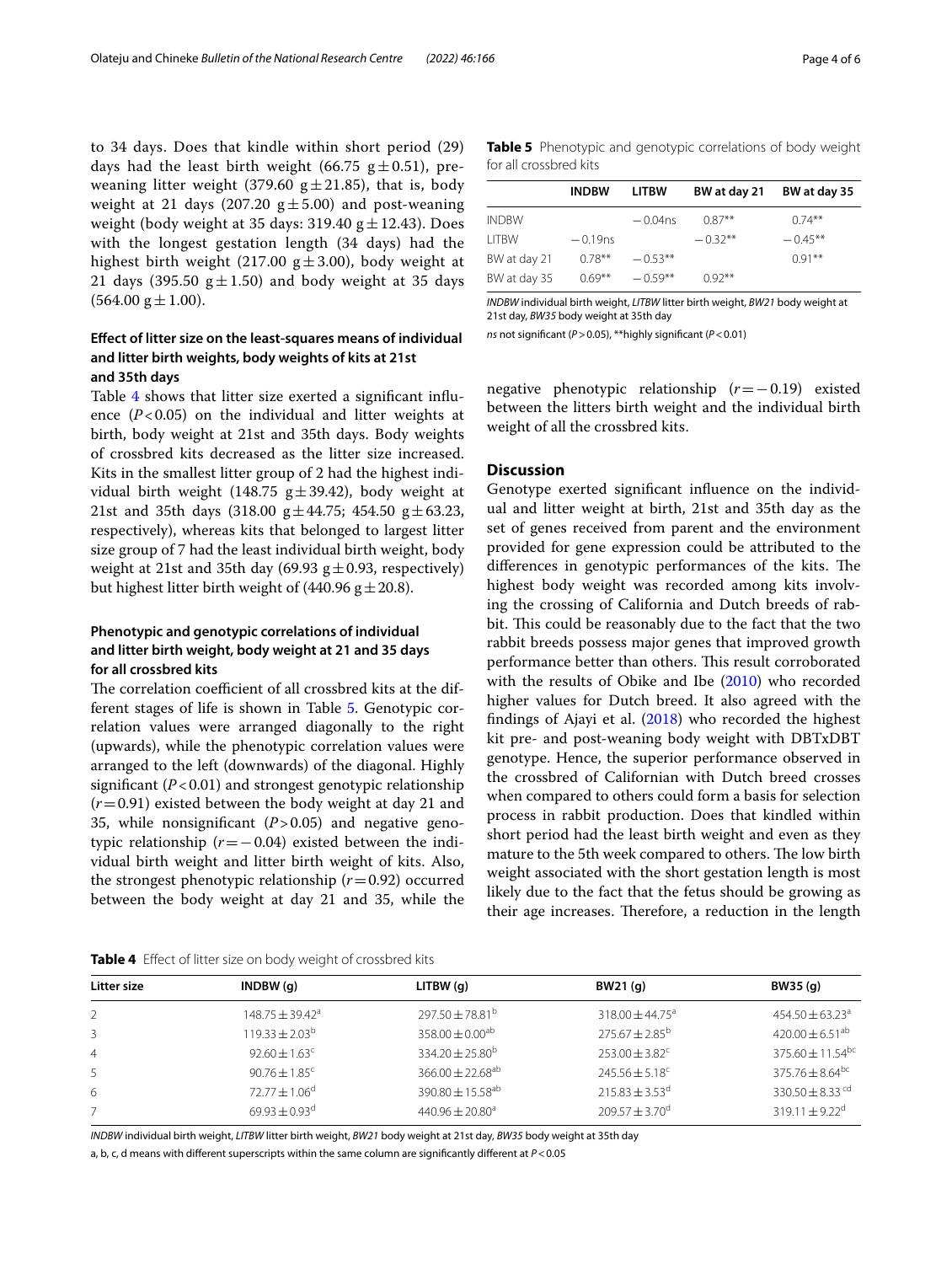to 34 days. Does that kindle within short period (29) days had the least birth weight (66.75  $g \pm 0.51$ ), preweaning litter weight (379.60  $g \pm 21.85$ ), that is, body weight at 21 days (207.20  $g \pm 5.00$ ) and post-weaning weight (body weight at 35 days: 319.40  $g \pm 12.43$ ). Does with the longest gestation length (34 days) had the highest birth weight (217.00  $g \pm 3.00$ ), body weight at 21 days (395.50  $g \pm 1.50$ ) and body weight at 35 days  $(564.00 \text{ g} \pm 1.00)$ .

## **Efect of litter size on the least‑squares means of individual and litter birth weights, body weights of kits at 21st and 35th days**

Table [4](#page-3-0) shows that litter size exerted a signifcant infuence  $(P<0.05)$  on the individual and litter weights at birth, body weight at 21st and 35th days. Body weights of crossbred kits decreased as the litter size increased. Kits in the smallest litter group of 2 had the highest individual birth weight (148.75  $g \pm 39.42$ ), body weight at 21st and 35th days (318.00  $g \pm 44.75$ ; 454.50  $g \pm 63.23$ , respectively), whereas kits that belonged to largest litter size group of 7 had the least individual birth weight, body weight at 21st and 35th day (69.93  $g \pm 0.93$ , respectively) but highest litter birth weight of (440.96  $g \pm 20.8$ ).

## **Phenotypic and genotypic correlations of individual and litter birth weight, body weight at 21 and 35 days for all crossbred kits**

The correlation coefficient of all crossbred kits at the different stages of life is shown in Table [5](#page-3-1). Genotypic correlation values were arranged diagonally to the right (upwards), while the phenotypic correlation values were arranged to the left (downwards) of the diagonal. Highly signifcant (*P*<0.01) and strongest genotypic relationship (*r*=0.91) existed between the body weight at day 21 and 35, while nonsignifcant (*P*>0.05) and negative genotypic relationship  $(r=-0.04)$  existed between the individual birth weight and litter birth weight of kits. Also, the strongest phenotypic relationship  $(r=0.92)$  occurred between the body weight at day 21 and 35, while the <span id="page-3-1"></span>**Table 5** Phenotypic and genotypic correlations of body weight for all crossbred kits

|              | <b>INDBW</b> | <b>LITBW</b> | BW at day 21 | BW at day 35 |
|--------------|--------------|--------------|--------------|--------------|
| <b>INDBW</b> |              | $-0.04$ ns   | $0.87**$     | $0.74***$    |
| I ITBW       | $-0.19$ ns   |              | $-0.32**$    | $-0.45**$    |
| BW at day 21 | $0.78***$    | $-0.53**$    |              | $0.91***$    |
| BW at day 35 | $0.69***$    | $-0.59**$    | $0.92***$    |              |

*INDBW* individual birth weight, *LITBW* litter birth weight, *BW21* body weight at 21st day, *BW35* body weight at 35th day

*ns* not signifcant (*P*>0.05), \*\*highly signifcant (*P*<0.01)

negative phenotypic relationship (*r*=−0.19) existed between the litters birth weight and the individual birth weight of all the crossbred kits.

### **Discussion**

Genotype exerted signifcant infuence on the individual and litter weight at birth, 21st and 35th day as the set of genes received from parent and the environment provided for gene expression could be attributed to the differences in genotypic performances of the kits. The highest body weight was recorded among kits involving the crossing of California and Dutch breeds of rabbit. This could be reasonably due to the fact that the two rabbit breeds possess major genes that improved growth performance better than others. This result corroborated with the results of Obike and Ibe [\(2010\)](#page-5-10) who recorded higher values for Dutch breed. It also agreed with the fndings of Ajayi et al. [\(2018](#page-4-1)) who recorded the highest kit pre- and post-weaning body weight with DBTxDBT genotype. Hence, the superior performance observed in the crossbred of Californian with Dutch breed crosses when compared to others could form a basis for selection process in rabbit production. Does that kindled within short period had the least birth weight and even as they mature to the 5th week compared to others. The low birth weight associated with the short gestation length is most likely due to the fact that the fetus should be growing as their age increases. Therefore, a reduction in the length

<span id="page-3-0"></span>

| Litter size    | INDBW(q)                      | LITBW(q)                         | BW21 (g)                   | BW35 (g)                         |
|----------------|-------------------------------|----------------------------------|----------------------------|----------------------------------|
| 2              | $148.75 \pm 39.42^{\circ}$    | $297.50 \pm 78.81^{\circ}$       | $318.00 \pm 44.75^{\circ}$ | $454.50 \pm 63.23$ <sup>a</sup>  |
|                | $119.33 \pm 2.03^{\circ}$     | $358.00 \pm 0.00^{ab}$           | $275.67 \pm 2.85^{\circ}$  | $420.00 \pm 6.51^{ab}$           |
| $\overline{4}$ | $92.60 \pm 1.63^{\circ}$      | $334.20 \pm 25.80^b$             | $253.00 \pm 3.82^{\circ}$  | $375.60 \pm 11.54$ <sup>bc</sup> |
| -5             | $90.76 \pm 1.85$ <sup>c</sup> | 366.00 $\pm$ 22.68 <sup>ab</sup> | $245.56 \pm 5.18^c$        | $375.76 \pm 8.64$ <sup>bc</sup>  |
| 6              | $72.77 \pm 1.06^{\circ}$      | 390.80 $\pm$ 15.58 <sup>ab</sup> | $215.83 \pm 3.53^{\circ}$  | $330.50 + 8.33$ <sup>cd</sup>    |
|                | $69.93 \pm 0.93^{\text{d}}$   | $440.96 \pm 20.80$ <sup>a</sup>  | $209.57 + 3.70^{\circ}$    | $319.11 + 9.22^{\circ}$          |

*INDBW* individual birth weight, *LITBW* litter birth weight, *BW21* body weight at 21st day, *BW35* body weight at 35th day

a, b, c, d means with diferent superscripts within the same column are signifcantly diferent at *P*<0.05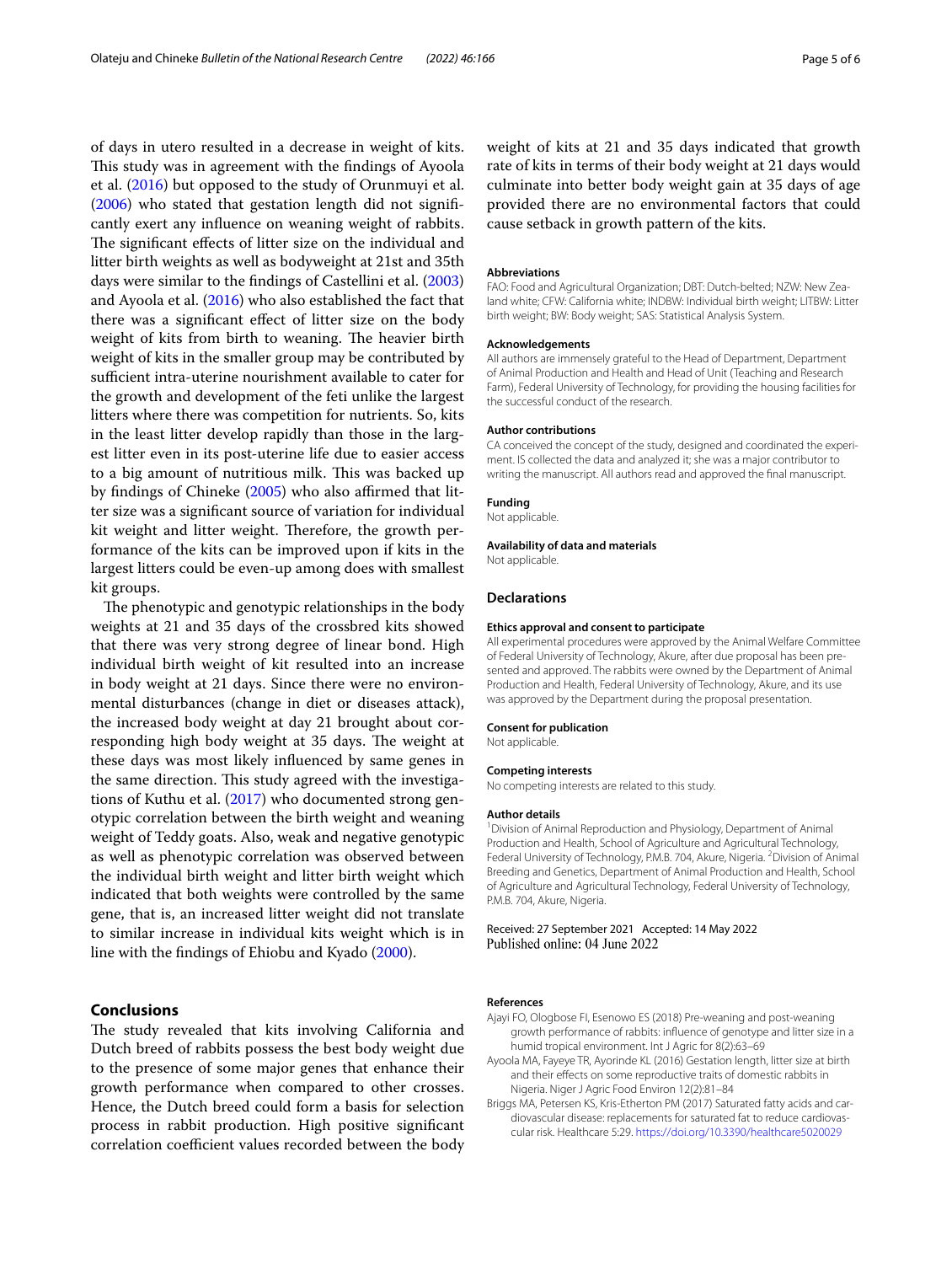of days in utero resulted in a decrease in weight of kits. This study was in agreement with the findings of Ayoola et al. [\(2016](#page-4-2)) but opposed to the study of Orunmuyi et al. ([2006\)](#page-5-11) who stated that gestation length did not signifcantly exert any infuence on weaning weight of rabbits. The significant effects of litter size on the individual and litter birth weights as well as bodyweight at 21st and 35th days were similar to the fndings of Castellini et al. ([2003](#page-5-12)) and Ayoola et al. [\(2016\)](#page-4-2) who also established the fact that there was a signifcant efect of litter size on the body weight of kits from birth to weaning. The heavier birth weight of kits in the smaller group may be contributed by sufficient intra-uterine nourishment available to cater for the growth and development of the feti unlike the largest litters where there was competition for nutrients. So, kits in the least litter develop rapidly than those in the largest litter even in its post-uterine life due to easier access to a big amount of nutritious milk. This was backed up by findings of Chineke [\(2005](#page-5-7)) who also affirmed that litter size was a signifcant source of variation for individual kit weight and litter weight. Therefore, the growth performance of the kits can be improved upon if kits in the largest litters could be even-up among does with smallest kit groups.

The phenotypic and genotypic relationships in the body weights at 21 and 35 days of the crossbred kits showed that there was very strong degree of linear bond. High individual birth weight of kit resulted into an increase in body weight at 21 days. Since there were no environmental disturbances (change in diet or diseases attack), the increased body weight at day 21 brought about corresponding high body weight at 35 days. The weight at these days was most likely infuenced by same genes in the same direction. This study agreed with the investigations of Kuthu et al. ([2017\)](#page-5-13) who documented strong genotypic correlation between the birth weight and weaning weight of Teddy goats. Also, weak and negative genotypic as well as phenotypic correlation was observed between the individual birth weight and litter birth weight which indicated that both weights were controlled by the same gene, that is, an increased litter weight did not translate to similar increase in individual kits weight which is in line with the fndings of Ehiobu and Kyado ([2000](#page-5-14)).

## **Conclusions**

The study revealed that kits involving California and Dutch breed of rabbits possess the best body weight due to the presence of some major genes that enhance their growth performance when compared to other crosses. Hence, the Dutch breed could form a basis for selection process in rabbit production. High positive signifcant correlation coefficient values recorded between the body weight of kits at 21 and 35 days indicated that growth rate of kits in terms of their body weight at 21 days would culminate into better body weight gain at 35 days of age provided there are no environmental factors that could cause setback in growth pattern of the kits.

#### **Abbreviations**

FAO: Food and Agricultural Organization; DBT: Dutch-belted; NZW: New Zealand white; CFW: California white; INDBW: Individual birth weight; LITBW: Litter birth weight; BW: Body weight; SAS: Statistical Analysis System.

#### **Acknowledgements**

All authors are immensely grateful to the Head of Department, Department of Animal Production and Health and Head of Unit (Teaching and Research Farm), Federal University of Technology, for providing the housing facilities for the successful conduct of the research.

#### **Author contributions**

CA conceived the concept of the study, designed and coordinated the experiment. IS collected the data and analyzed it; she was a major contributor to writing the manuscript. All authors read and approved the fnal manuscript.

#### **Funding**

Not applicable.

#### **Availability of data and materials**

Not applicable.

#### **Declarations**

#### **Ethics approval and consent to participate**

All experimental procedures were approved by the Animal Welfare Committee of Federal University of Technology, Akure, after due proposal has been presented and approved. The rabbits were owned by the Department of Animal Production and Health, Federal University of Technology, Akure, and its use was approved by the Department during the proposal presentation.

#### **Consent for publication**

Not applicable.

#### **Competing interests**

No competing interests are related to this study.

#### **Author details**

<sup>1</sup> Division of Animal Reproduction and Physiology, Department of Animal Production and Health, School of Agriculture and Agricultural Technology, Federal University of Technology, P.M.B. 704, Akure, Nigeria. <sup>2</sup> Division of Animal Breeding and Genetics, Department of Animal Production and Health, School of Agriculture and Agricultural Technology, Federal University of Technology, P.M.B. 704, Akure, Nigeria.

Received: 27 September 2021 Accepted: 14 May 2022 Published online: 04 June 2022

#### **References**

- <span id="page-4-1"></span>Ajayi FO, Ologbose FI, Esenowo ES (2018) Pre-weaning and post-weaning growth performance of rabbits: infuence of genotype and litter size in a humid tropical environment. Int J Agric for 8(2):63–69
- <span id="page-4-2"></span>Ayoola MA, Fayeye TR, Ayorinde KL (2016) Gestation length, litter size at birth and their effects on some reproductive traits of domestic rabbits in Nigeria. Niger J Agric Food Environ 12(2):81–84
- <span id="page-4-0"></span>Briggs MA, Petersen KS, Kris-Etherton PM (2017) Saturated fatty acids and cardiovascular disease: replacements for saturated fat to reduce cardiovascular risk. Healthcare 5:29. <https://doi.org/10.3390/healthcare5020029>